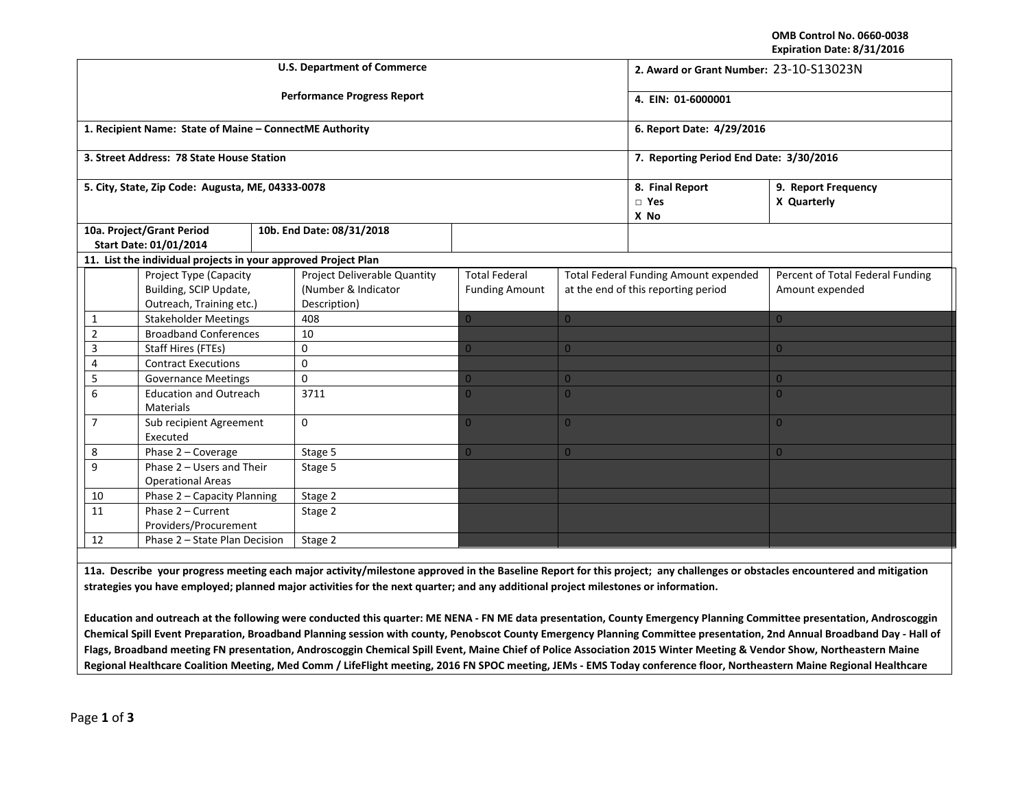**OMB Control No. 0660‐0038 Expiration Date: 8/31/2016**

|                                                                                  |                                                                              |  | <b>U.S. Department of Commerce</b>                                  | 2. Award or Grant Number: 23-10-S13023N       |                                                                                     |                                       |                                                     |
|----------------------------------------------------------------------------------|------------------------------------------------------------------------------|--|---------------------------------------------------------------------|-----------------------------------------------|-------------------------------------------------------------------------------------|---------------------------------------|-----------------------------------------------------|
|                                                                                  |                                                                              |  | <b>Performance Progress Report</b>                                  | 4. EIN: 01-6000001                            |                                                                                     |                                       |                                                     |
|                                                                                  | 1. Recipient Name: State of Maine - ConnectME Authority                      |  |                                                                     | 6. Report Date: 4/29/2016                     |                                                                                     |                                       |                                                     |
|                                                                                  | 3. Street Address: 78 State House Station                                    |  |                                                                     | 7. Reporting Period End Date: 3/30/2016       |                                                                                     |                                       |                                                     |
| 5. City, State, Zip Code: Augusta, ME, 04333-0078                                |                                                                              |  |                                                                     |                                               |                                                                                     | 8. Final Report<br>$\Box$ Yes<br>X No | 9. Report Frequency<br>X Quarterly                  |
| 10a. Project/Grant Period<br>10b. End Date: 08/31/2018<br>Start Date: 01/01/2014 |                                                                              |  |                                                                     |                                               |                                                                                     |                                       |                                                     |
|                                                                                  | 11. List the individual projects in your approved Project Plan               |  |                                                                     |                                               |                                                                                     |                                       |                                                     |
|                                                                                  | Project Type (Capacity<br>Building, SCIP Update,<br>Outreach, Training etc.) |  | Project Deliverable Quantity<br>(Number & Indicator<br>Description) | <b>Total Federal</b><br><b>Funding Amount</b> | <b>Total Federal Funding Amount expended</b><br>at the end of this reporting period |                                       | Percent of Total Federal Funding<br>Amount expended |
|                                                                                  | <b>Stakeholder Meetings</b>                                                  |  |                                                                     |                                               |                                                                                     |                                       |                                                     |
| 1                                                                                |                                                                              |  | 408                                                                 | $\overline{0}$                                | $\overline{0}$                                                                      |                                       | $\overline{0}$                                      |
| $\overline{2}$                                                                   | <b>Broadband Conferences</b>                                                 |  | 10                                                                  |                                               |                                                                                     |                                       |                                                     |
| 3                                                                                | Staff Hires (FTEs)                                                           |  | 0                                                                   | $\mathbf{0}$                                  | $\overline{0}$                                                                      |                                       | $\overline{0}$                                      |
| $\overline{4}$                                                                   | <b>Contract Executions</b>                                                   |  | 0                                                                   |                                               |                                                                                     |                                       |                                                     |
| 5                                                                                | <b>Governance Meetings</b>                                                   |  | $\Omega$                                                            | 0                                             | $\overline{0}$                                                                      |                                       | $\overline{0}$                                      |
| 6                                                                                | <b>Education and Outreach</b><br><b>Materials</b>                            |  | 3711                                                                | 0                                             | $\Omega$                                                                            |                                       | $\Omega$                                            |
| $\overline{7}$                                                                   | Sub recipient Agreement<br>Executed                                          |  | $\Omega$                                                            | $\overline{0}$                                | $\overline{0}$                                                                      |                                       | $\overline{0}$                                      |
| 8                                                                                | Phase 2 - Coverage                                                           |  | Stage 5                                                             | $\overline{0}$                                | $\overline{0}$                                                                      |                                       | $\overline{0}$                                      |
| 9                                                                                | Phase 2 - Users and Their<br><b>Operational Areas</b>                        |  | Stage 5                                                             |                                               |                                                                                     |                                       |                                                     |
| 10                                                                               | Phase 2 - Capacity Planning                                                  |  | Stage 2                                                             |                                               |                                                                                     |                                       |                                                     |
| 11                                                                               | Phase 2 - Current<br>Providers/Procurement                                   |  | Stage 2                                                             |                                               |                                                                                     |                                       |                                                     |
| 12                                                                               | Phase 2 - State Plan Decision                                                |  | Stage 2                                                             |                                               |                                                                                     |                                       |                                                     |

11a. Describe your progress meeting each major activity/milestone approved in the Baseline Report for this project; any challenges or obstacles encountered and mitigation strategies you have employed; planned major activities for the next quarter; and any additional project milestones or information.

Education and outreach at the following were conducted this quarter: ME NENA - FN ME data presentation, County Emergency Planning Committee presentation, Androscoggin Chemical Spill Event Preparation, Broadband Planning session with county, Penobscot County Emergency Planning Committee presentation, 2nd Annual Broadband Day - Hall of Flags, Broadband meeting FN presentation, Androscoggin Chemical Spill Event, Maine Chief of Police Association 2015 Winter Meeting & Vendor Show, Northeastern Maine Regional Healthcare Coalition Meeting, Med Comm / LifeFlight meeting, 2016 FN SPOC meeting, JEMs - EMS Today conference floor, Northeastern Maine Regional Healthcare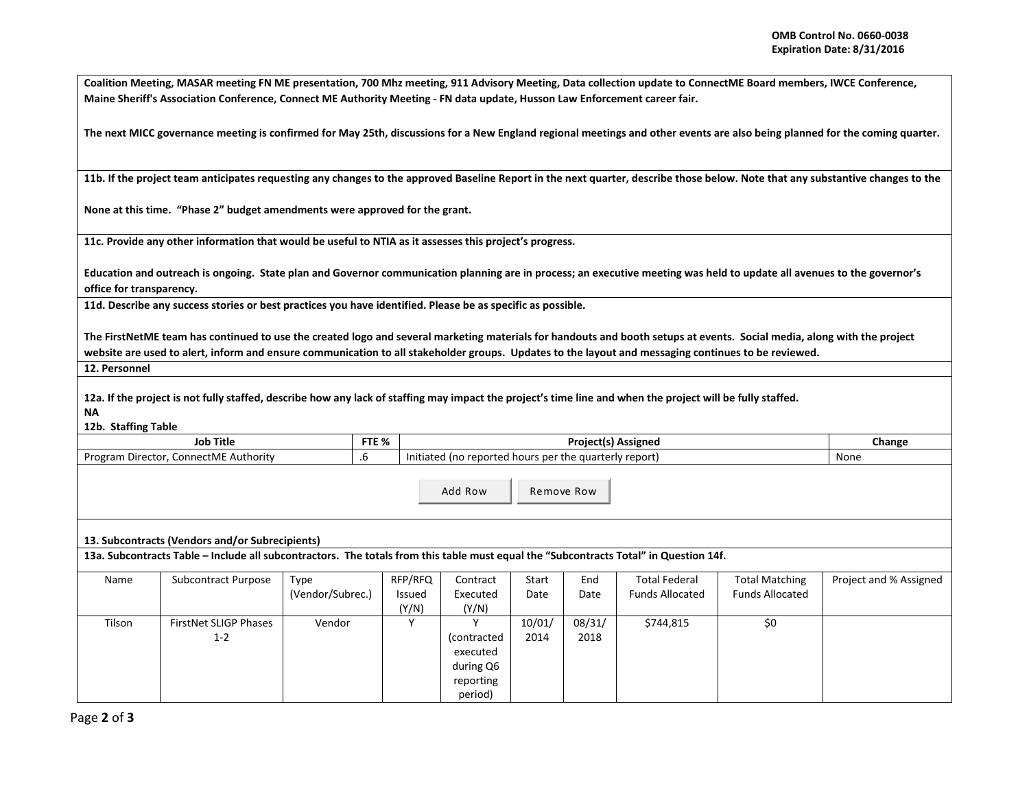Coalition Meeting, MASAR meeting FN ME presentation, 700 Mhz meeting, 911 Advisory Meeting, Data collection update to ConnectME Board members, IWCE Conference, Maine Sheriff's Association Conference, Connect ME Authority Meeting - FN data update, Husson Law Enforcement career fair.

The next MICC governance meeting is confirmed for May 25th, discussions for a New England regional meetings and other events are also being planned for the coming quarter.

11b. If the project team anticipates requesting any changes to the approved Baseline Report in the next quarter, describe those below. Note that any substantive changes to the

**None at this time. "Phase 2" budget amendments were approved for the grant.**

**11c. Provide any other information that would be useful to NTIA as it assesses this project's progress.**

Education and outreach is ongoing. State plan and Governor communication planning are in process; an executive meeting was held to update all avenues to the governor's **office for transparency.**

11d. Describe any success stories or best practices you have identified. Please be as specific as possible.

The FirstNetME team has continued to use the created logo and several marketing materials for handouts and booth setups at events. Social media, along with the project website are used to alert, inform and ensure communication to all stakeholder groups. Updates to the layout and messaging continues to be reviewed.

**12. Personnel**

12a. If the project is not fully staffed, describe how any lack of staffing may impact the project's time line and when the project will be fully staffed. **NA**

**12b. Staffing Table**

| Title                                             | ETE OZ | Project(s)                                                                      | Change |
|---------------------------------------------------|--------|---------------------------------------------------------------------------------|--------|
| Job                                               | C / 0  | Assigned                                                                        |        |
| onnectME<br>Program<br>Authority<br>Director<br>w |        | rs per the quarterly report.<br>l hours<br>report (<br>. In<br>Initiated<br>ted | None   |

Add RowRemove Row

**13. Subcontracts (Vendors and/or Subrecipients)**

13a. Subcontracts Table – Include all subcontractors. The totals from this table must equal the "Subcontracts Total" in Question 14f.

| Name   | Subcontract Purpose          | Type             | RFP/RFQ | Contract    | Start  | End    | <b>Total Federal</b>   | <b>Total Matching</b>  | Project and % Assigned |
|--------|------------------------------|------------------|---------|-------------|--------|--------|------------------------|------------------------|------------------------|
|        |                              | (Vendor/Subrec.) | Issued  | Executed    | Date   | Date   | <b>Funds Allocated</b> | <b>Funds Allocated</b> |                        |
|        |                              |                  | (Y/N)   | (Y/N)       |        |        |                        |                        |                        |
| Tilson | <b>FirstNet SLIGP Phases</b> | Vendor           |         |             | 10/01/ | 08/31/ | \$744,815              | \$0                    |                        |
|        | $1 - 2$                      |                  |         | (contracted | 2014   | 2018   |                        |                        |                        |
|        |                              |                  |         | executed    |        |        |                        |                        |                        |
|        |                              |                  |         | during Q6   |        |        |                        |                        |                        |
|        |                              |                  |         | reporting   |        |        |                        |                        |                        |
|        |                              |                  |         | period)     |        |        |                        |                        |                        |